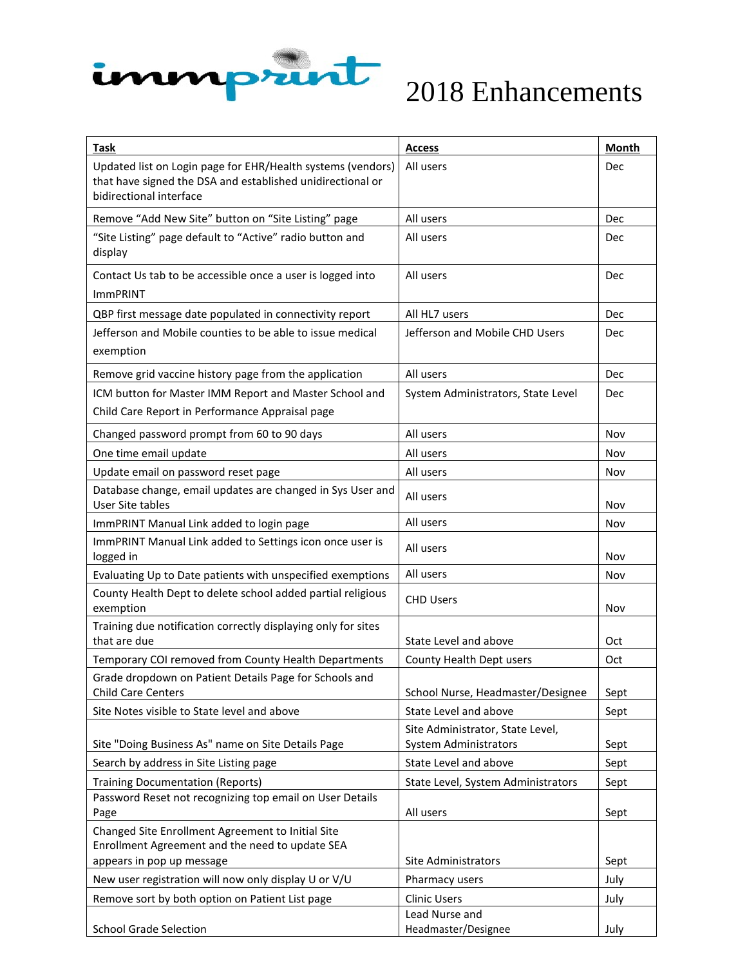

| Task                                                                                                                                                 | <b>Access</b>                         | <b>Month</b> |
|------------------------------------------------------------------------------------------------------------------------------------------------------|---------------------------------------|--------------|
| Updated list on Login page for EHR/Health systems (vendors)<br>that have signed the DSA and established unidirectional or<br>bidirectional interface | All users                             | Dec          |
| Remove "Add New Site" button on "Site Listing" page                                                                                                  | All users                             | Dec          |
| "Site Listing" page default to "Active" radio button and<br>display                                                                                  | All users                             | Dec          |
| Contact Us tab to be accessible once a user is logged into<br><b>ImmPRINT</b>                                                                        | All users                             | Dec          |
| QBP first message date populated in connectivity report                                                                                              | All HL7 users                         | Dec          |
| Jefferson and Mobile counties to be able to issue medical<br>exemption                                                                               | Jefferson and Mobile CHD Users        | Dec          |
| Remove grid vaccine history page from the application                                                                                                | All users                             | Dec          |
| ICM button for Master IMM Report and Master School and                                                                                               | System Administrators, State Level    | Dec          |
| Child Care Report in Performance Appraisal page                                                                                                      |                                       |              |
| Changed password prompt from 60 to 90 days                                                                                                           | All users                             | Nov          |
| One time email update                                                                                                                                | All users                             | Nov          |
| Update email on password reset page                                                                                                                  | All users                             | Nov          |
| Database change, email updates are changed in Sys User and<br><b>User Site tables</b>                                                                | All users                             | Nov          |
| ImmPRINT Manual Link added to login page                                                                                                             | All users                             | Nov          |
| ImmPRINT Manual Link added to Settings icon once user is<br>logged in                                                                                | All users                             | Nov          |
| Evaluating Up to Date patients with unspecified exemptions                                                                                           | All users                             | Nov          |
| County Health Dept to delete school added partial religious<br>exemption                                                                             | <b>CHD Users</b>                      | Nov          |
| Training due notification correctly displaying only for sites                                                                                        |                                       |              |
| that are due                                                                                                                                         | State Level and above                 | Oct          |
| Temporary COI removed from County Health Departments                                                                                                 | County Health Dept users              | Oct          |
| Grade dropdown on Patient Details Page for Schools and<br><b>Child Care Centers</b>                                                                  | School Nurse, Headmaster/Designee     | Sept         |
| Site Notes visible to State level and above                                                                                                          | State Level and above                 | Sept         |
|                                                                                                                                                      | Site Administrator, State Level,      |              |
| Site "Doing Business As" name on Site Details Page                                                                                                   | <b>System Administrators</b>          | Sept         |
| Search by address in Site Listing page                                                                                                               | State Level and above                 | Sept         |
| <b>Training Documentation (Reports)</b>                                                                                                              | State Level, System Administrators    | Sept         |
| Password Reset not recognizing top email on User Details                                                                                             |                                       |              |
| Page                                                                                                                                                 | All users                             | Sept         |
| Changed Site Enrollment Agreement to Initial Site<br>Enrollment Agreement and the need to update SEA                                                 |                                       |              |
| appears in pop up message                                                                                                                            | Site Administrators                   | Sept         |
| New user registration will now only display U or V/U                                                                                                 | Pharmacy users                        | July         |
| Remove sort by both option on Patient List page                                                                                                      | <b>Clinic Users</b>                   | July         |
| <b>School Grade Selection</b>                                                                                                                        | Lead Nurse and<br>Headmaster/Designee | July         |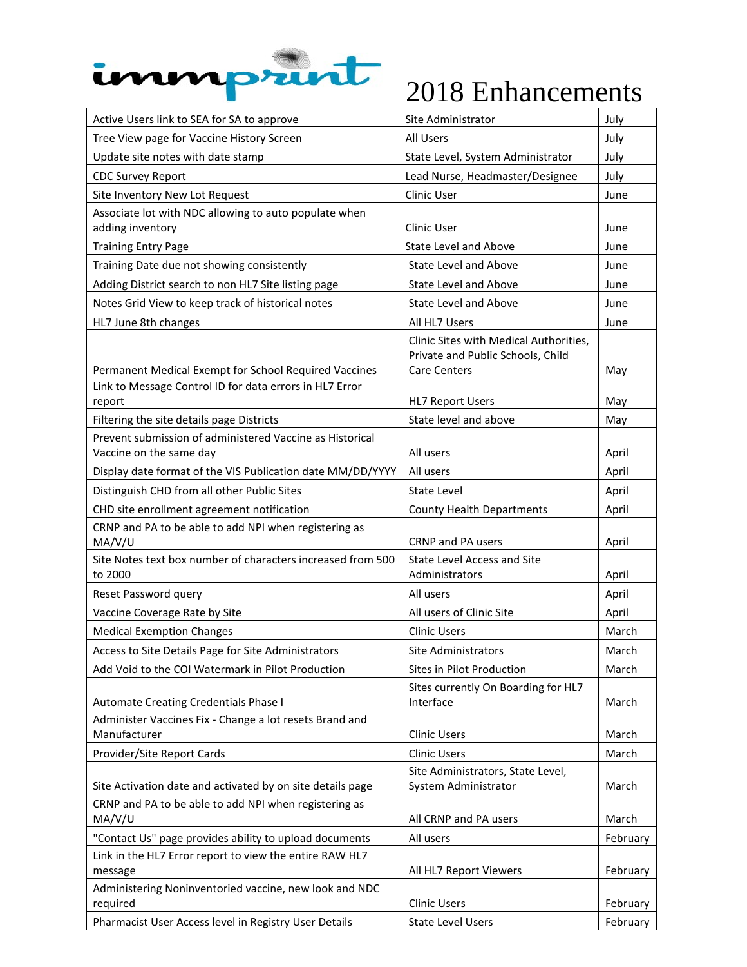

| Active Users link to SEA for SA to approve                                                                          | Site Administrator                                                                          | July     |
|---------------------------------------------------------------------------------------------------------------------|---------------------------------------------------------------------------------------------|----------|
| Tree View page for Vaccine History Screen                                                                           | All Users                                                                                   | July     |
| Update site notes with date stamp                                                                                   | State Level, System Administrator                                                           | July     |
| <b>CDC Survey Report</b>                                                                                            | Lead Nurse, Headmaster/Designee                                                             | July     |
| Site Inventory New Lot Request                                                                                      | Clinic User                                                                                 | June     |
| Associate lot with NDC allowing to auto populate when<br>adding inventory                                           | Clinic User                                                                                 | June     |
| <b>Training Entry Page</b>                                                                                          | <b>State Level and Above</b>                                                                | June     |
| Training Date due not showing consistently                                                                          | <b>State Level and Above</b>                                                                | June     |
| Adding District search to non HL7 Site listing page                                                                 | State Level and Above                                                                       | June     |
| Notes Grid View to keep track of historical notes                                                                   | <b>State Level and Above</b>                                                                | June     |
| HL7 June 8th changes                                                                                                | All HL7 Users                                                                               | June     |
| Permanent Medical Exempt for School Required Vaccines                                                               | Clinic Sites with Medical Authorities,<br>Private and Public Schools, Child<br>Care Centers | May      |
| Link to Message Control ID for data errors in HL7 Error                                                             |                                                                                             |          |
| report                                                                                                              | <b>HL7 Report Users</b>                                                                     | May      |
| Filtering the site details page Districts                                                                           | State level and above                                                                       | May      |
| Prevent submission of administered Vaccine as Historical<br>Vaccine on the same day                                 | All users                                                                                   | April    |
| Display date format of the VIS Publication date MM/DD/YYYY                                                          | All users                                                                                   | April    |
| Distinguish CHD from all other Public Sites                                                                         | <b>State Level</b>                                                                          | April    |
| CHD site enrollment agreement notification                                                                          | <b>County Health Departments</b>                                                            | April    |
| CRNP and PA to be able to add NPI when registering as                                                               |                                                                                             |          |
| MA/V/U                                                                                                              | <b>CRNP</b> and PA users                                                                    | April    |
| Site Notes text box number of characters increased from 500<br>to 2000                                              | <b>State Level Access and Site</b><br>Administrators                                        | April    |
| Reset Password query                                                                                                | All users                                                                                   | April    |
| Vaccine Coverage Rate by Site                                                                                       | All users of Clinic Site                                                                    | April    |
| <b>Medical Exemption Changes</b>                                                                                    | <b>Clinic Users</b>                                                                         | March    |
| Access to Site Details Page for Site Administrators                                                                 | <b>Site Administrators</b>                                                                  | March    |
| Add Void to the COI Watermark in Pilot Production                                                                   | Sites in Pilot Production                                                                   | March    |
| Automate Creating Credentials Phase I                                                                               | Sites currently On Boarding for HL7<br>Interface                                            | March    |
| Administer Vaccines Fix - Change a lot resets Brand and                                                             |                                                                                             |          |
| Manufacturer                                                                                                        | <b>Clinic Users</b>                                                                         | March    |
| Provider/Site Report Cards                                                                                          | <b>Clinic Users</b>                                                                         | March    |
|                                                                                                                     | Site Administrators, State Level,                                                           |          |
| Site Activation date and activated by on site details page<br>CRNP and PA to be able to add NPI when registering as | System Administrator                                                                        | March    |
| MA/V/U                                                                                                              | All CRNP and PA users                                                                       | March    |
| "Contact Us" page provides ability to upload documents                                                              | All users                                                                                   | February |
| Link in the HL7 Error report to view the entire RAW HL7                                                             |                                                                                             |          |
| message                                                                                                             | All HL7 Report Viewers                                                                      | February |
| Administering Noninventoried vaccine, new look and NDC<br>required                                                  | <b>Clinic Users</b>                                                                         | February |
| Pharmacist User Access level in Registry User Details                                                               | <b>State Level Users</b>                                                                    | February |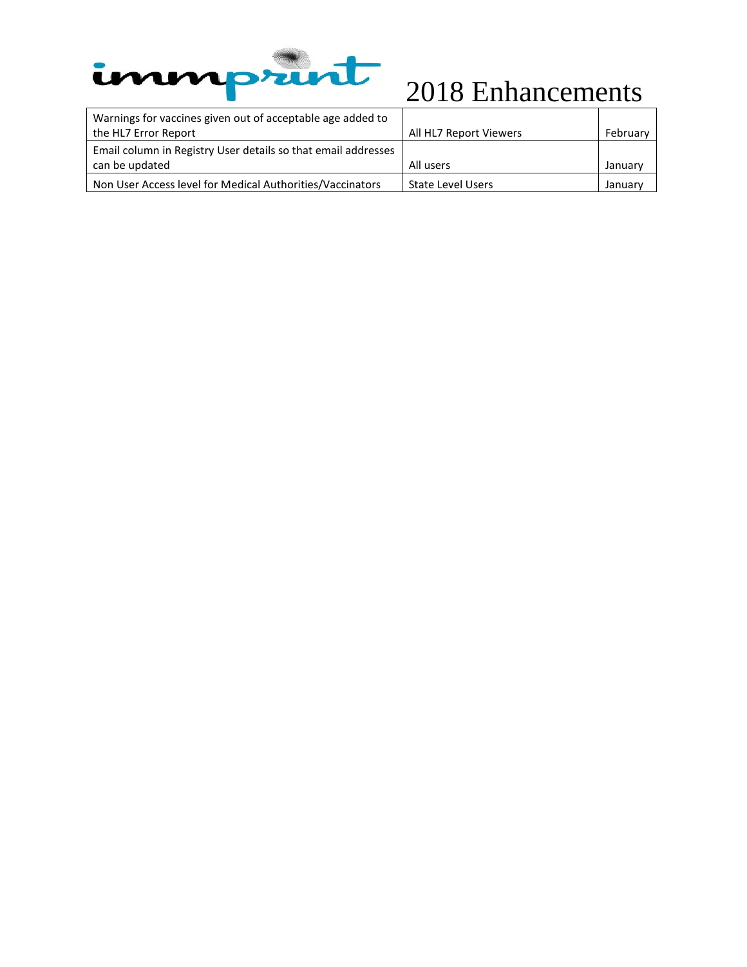

| Warnings for vaccines given out of acceptable age added to    |                          |          |
|---------------------------------------------------------------|--------------------------|----------|
| the HL7 Error Report                                          | All HL7 Report Viewers   | February |
| Email column in Registry User details so that email addresses |                          |          |
| can be updated                                                | All users                | January  |
| Non User Access level for Medical Authorities/Vaccinators     | <b>State Level Users</b> | January  |